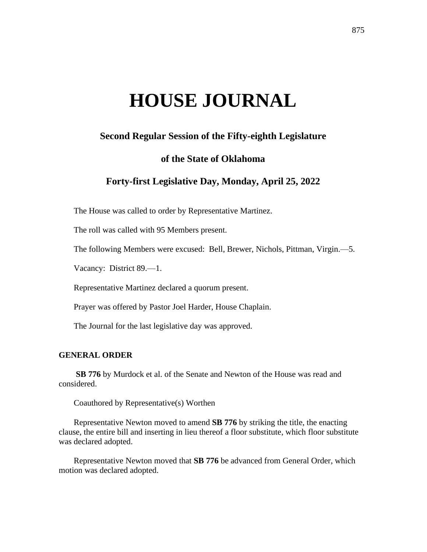# **HOUSE JOURNAL**

# **Second Regular Session of the Fifty-eighth Legislature**

# **of the State of Oklahoma**

# **Forty-first Legislative Day, Monday, April 25, 2022**

The House was called to order by Representative Martinez.

The roll was called with 95 Members present.

The following Members were excused: Bell, Brewer, Nichols, Pittman, Virgin.—5.

Vacancy: District 89.—1.

Representative Martinez declared a quorum present.

Prayer was offered by Pastor Joel Harder, House Chaplain.

The Journal for the last legislative day was approved.

# **GENERAL ORDER**

**SB 776** by Murdock et al. of the Senate and Newton of the House was read and considered.

Coauthored by Representative(s) Worthen

Representative Newton moved to amend **SB 776** by striking the title, the enacting clause, the entire bill and inserting in lieu thereof a floor substitute, which floor substitute was declared adopted.

Representative Newton moved that **SB 776** be advanced from General Order, which motion was declared adopted.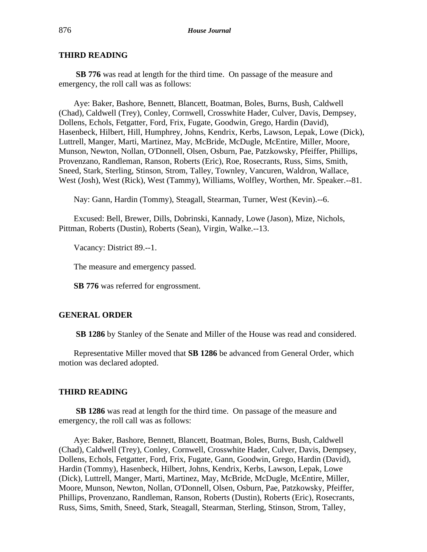# **THIRD READING**

**SB 776** was read at length for the third time. On passage of the measure and emergency, the roll call was as follows:

Aye: Baker, Bashore, Bennett, Blancett, Boatman, Boles, Burns, Bush, Caldwell (Chad), Caldwell (Trey), Conley, Cornwell, Crosswhite Hader, Culver, Davis, Dempsey, Dollens, Echols, Fetgatter, Ford, Frix, Fugate, Goodwin, Grego, Hardin (David), Hasenbeck, Hilbert, Hill, Humphrey, Johns, Kendrix, Kerbs, Lawson, Lepak, Lowe (Dick), Luttrell, Manger, Marti, Martinez, May, McBride, McDugle, McEntire, Miller, Moore, Munson, Newton, Nollan, O'Donnell, Olsen, Osburn, Pae, Patzkowsky, Pfeiffer, Phillips, Provenzano, Randleman, Ranson, Roberts (Eric), Roe, Rosecrants, Russ, Sims, Smith, Sneed, Stark, Sterling, Stinson, Strom, Talley, Townley, Vancuren, Waldron, Wallace, West (Josh), West (Rick), West (Tammy), Williams, Wolfley, Worthen, Mr. Speaker.--81.

Nay: Gann, Hardin (Tommy), Steagall, Stearman, Turner, West (Kevin).--6.

Excused: Bell, Brewer, Dills, Dobrinski, Kannady, Lowe (Jason), Mize, Nichols, Pittman, Roberts (Dustin), Roberts (Sean), Virgin, Walke.--13.

Vacancy: District 89.--1.

The measure and emergency passed.

**SB 776** was referred for engrossment.

# **GENERAL ORDER**

**SB 1286** by Stanley of the Senate and Miller of the House was read and considered.

Representative Miller moved that **SB 1286** be advanced from General Order, which motion was declared adopted.

# **THIRD READING**

**SB 1286** was read at length for the third time. On passage of the measure and emergency, the roll call was as follows:

Aye: Baker, Bashore, Bennett, Blancett, Boatman, Boles, Burns, Bush, Caldwell (Chad), Caldwell (Trey), Conley, Cornwell, Crosswhite Hader, Culver, Davis, Dempsey, Dollens, Echols, Fetgatter, Ford, Frix, Fugate, Gann, Goodwin, Grego, Hardin (David), Hardin (Tommy), Hasenbeck, Hilbert, Johns, Kendrix, Kerbs, Lawson, Lepak, Lowe (Dick), Luttrell, Manger, Marti, Martinez, May, McBride, McDugle, McEntire, Miller, Moore, Munson, Newton, Nollan, O'Donnell, Olsen, Osburn, Pae, Patzkowsky, Pfeiffer, Phillips, Provenzano, Randleman, Ranson, Roberts (Dustin), Roberts (Eric), Rosecrants, Russ, Sims, Smith, Sneed, Stark, Steagall, Stearman, Sterling, Stinson, Strom, Talley,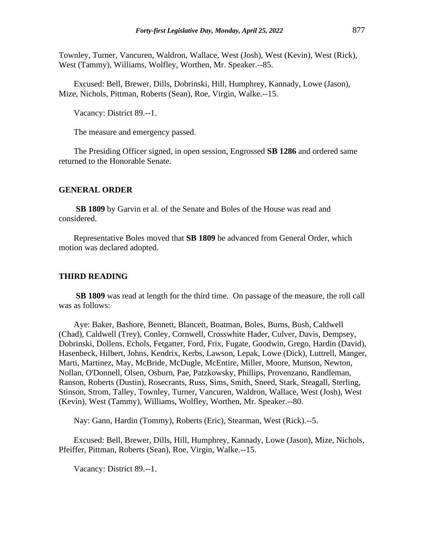Townley, Turner, Vancuren, Waldron, Wallace, West (Josh), West (Kevin), West (Rick), West (Tammy), Williams, Wolfley, Worthen, Mr. Speaker.--85.

Excused: Bell, Brewer, Dills, Dobrinski, Hill, Humphrey, Kannady, Lowe (Jason), Mize, Nichols, Pittman, Roberts (Sean), Roe, Virgin, Walke.--15.

Vacancy: District 89.--1.

The measure and emergency passed.

The Presiding Officer signed, in open session, Engrossed **SB 1286** and ordered same returned to the Honorable Senate.

#### **GENERAL ORDER**

**SB 1809** by Garvin et al. of the Senate and Boles of the House was read and considered.

Representative Boles moved that **SB 1809** be advanced from General Order, which motion was declared adopted.

#### **THIRD READING**

**SB 1809** was read at length for the third time. On passage of the measure, the roll call was as follows:

Aye: Baker, Bashore, Bennett, Blancett, Boatman, Boles, Burns, Bush, Caldwell (Chad), Caldwell (Trey), Conley, Cornwell, Crosswhite Hader, Culver, Davis, Dempsey, Dobrinski, Dollens, Echols, Fetgatter, Ford, Frix, Fugate, Goodwin, Grego, Hardin (David), Hasenbeck, Hilbert, Johns, Kendrix, Kerbs, Lawson, Lepak, Lowe (Dick), Luttrell, Manger, Marti, Martinez, May, McBride, McDugle, McEntire, Miller, Moore, Munson, Newton, Nollan, O'Donnell, Olsen, Osburn, Pae, Patzkowsky, Phillips, Provenzano, Randleman, Ranson, Roberts (Dustin), Rosecrants, Russ, Sims, Smith, Sneed, Stark, Steagall, Sterling, Stinson, Strom, Talley, Townley, Turner, Vancuren, Waldron, Wallace, West (Josh), West (Kevin), West (Tammy), Williams, Wolfley, Worthen, Mr. Speaker.--80.

Nay: Gann, Hardin (Tommy), Roberts (Eric), Stearman, West (Rick).--5.

Excused: Bell, Brewer, Dills, Hill, Humphrey, Kannady, Lowe (Jason), Mize, Nichols, Pfeiffer, Pittman, Roberts (Sean), Roe, Virgin, Walke.--15.

Vacancy: District 89.--1.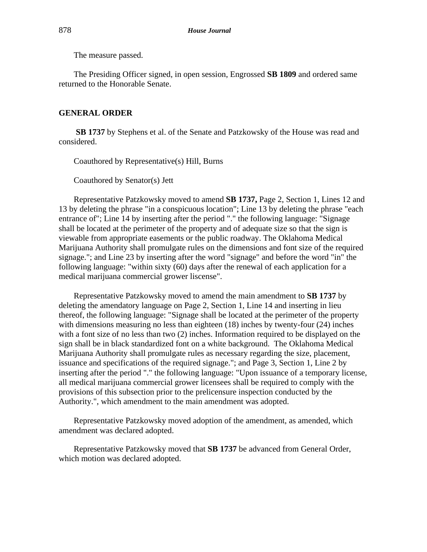The measure passed.

The Presiding Officer signed, in open session, Engrossed **SB 1809** and ordered same returned to the Honorable Senate.

# **GENERAL ORDER**

**SB 1737** by Stephens et al. of the Senate and Patzkowsky of the House was read and considered.

Coauthored by Representative(s) Hill, Burns

Coauthored by Senator(s) Jett

Representative Patzkowsky moved to amend **SB 1737,** Page 2, Section 1, Lines 12 and 13 by deleting the phrase "in a conspicuous location"; Line 13 by deleting the phrase "each entrance of"; Line 14 by inserting after the period "." the following language: "Signage shall be located at the perimeter of the property and of adequate size so that the sign is viewable from appropriate easements or the public roadway. The Oklahoma Medical Marijuana Authority shall promulgate rules on the dimensions and font size of the required signage."; and Line 23 by inserting after the word "signage" and before the word "in" the following language: "within sixty (60) days after the renewal of each application for a medical marijuana commercial grower liscense".

Representative Patzkowsky moved to amend the main amendment to **SB 1737** by deleting the amendatory language on Page 2, Section 1, Line 14 and inserting in lieu thereof, the following language: "Signage shall be located at the perimeter of the property with dimensions measuring no less than eighteen (18) inches by twenty-four (24) inches with a font size of no less than two (2) inches. Information required to be displayed on the sign shall be in black standardized font on a white background. The Oklahoma Medical Marijuana Authority shall promulgate rules as necessary regarding the size, placement, issuance and specifications of the required signage."; and Page 3, Section 1, Line 2 by inserting after the period "." the following language: "Upon issuance of a temporary license, all medical marijuana commercial grower licensees shall be required to comply with the provisions of this subsection prior to the prelicensure inspection conducted by the Authority.", which amendment to the main amendment was adopted.

Representative Patzkowsky moved adoption of the amendment, as amended, which amendment was declared adopted.

Representative Patzkowsky moved that **SB 1737** be advanced from General Order, which motion was declared adopted.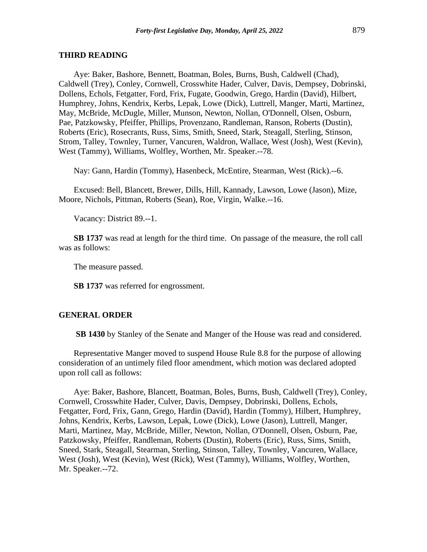#### **THIRD READING**

Aye: Baker, Bashore, Bennett, Boatman, Boles, Burns, Bush, Caldwell (Chad), Caldwell (Trey), Conley, Cornwell, Crosswhite Hader, Culver, Davis, Dempsey, Dobrinski, Dollens, Echols, Fetgatter, Ford, Frix, Fugate, Goodwin, Grego, Hardin (David), Hilbert, Humphrey, Johns, Kendrix, Kerbs, Lepak, Lowe (Dick), Luttrell, Manger, Marti, Martinez, May, McBride, McDugle, Miller, Munson, Newton, Nollan, O'Donnell, Olsen, Osburn, Pae, Patzkowsky, Pfeiffer, Phillips, Provenzano, Randleman, Ranson, Roberts (Dustin), Roberts (Eric), Rosecrants, Russ, Sims, Smith, Sneed, Stark, Steagall, Sterling, Stinson, Strom, Talley, Townley, Turner, Vancuren, Waldron, Wallace, West (Josh), West (Kevin), West (Tammy), Williams, Wolfley, Worthen, Mr. Speaker.--78.

Nay: Gann, Hardin (Tommy), Hasenbeck, McEntire, Stearman, West (Rick).--6.

Excused: Bell, Blancett, Brewer, Dills, Hill, Kannady, Lawson, Lowe (Jason), Mize, Moore, Nichols, Pittman, Roberts (Sean), Roe, Virgin, Walke.--16.

Vacancy: District 89.--1.

**SB 1737** was read at length for the third time. On passage of the measure, the roll call was as follows:

The measure passed.

**SB 1737** was referred for engrossment.

#### **GENERAL ORDER**

**SB 1430** by Stanley of the Senate and Manger of the House was read and considered.

Representative Manger moved to suspend House Rule 8.8 for the purpose of allowing consideration of an untimely filed floor amendment, which motion was declared adopted upon roll call as follows:

Aye: Baker, Bashore, Blancett, Boatman, Boles, Burns, Bush, Caldwell (Trey), Conley, Cornwell, Crosswhite Hader, Culver, Davis, Dempsey, Dobrinski, Dollens, Echols, Fetgatter, Ford, Frix, Gann, Grego, Hardin (David), Hardin (Tommy), Hilbert, Humphrey, Johns, Kendrix, Kerbs, Lawson, Lepak, Lowe (Dick), Lowe (Jason), Luttrell, Manger, Marti, Martinez, May, McBride, Miller, Newton, Nollan, O'Donnell, Olsen, Osburn, Pae, Patzkowsky, Pfeiffer, Randleman, Roberts (Dustin), Roberts (Eric), Russ, Sims, Smith, Sneed, Stark, Steagall, Stearman, Sterling, Stinson, Talley, Townley, Vancuren, Wallace, West (Josh), West (Kevin), West (Rick), West (Tammy), Williams, Wolfley, Worthen, Mr. Speaker.--72.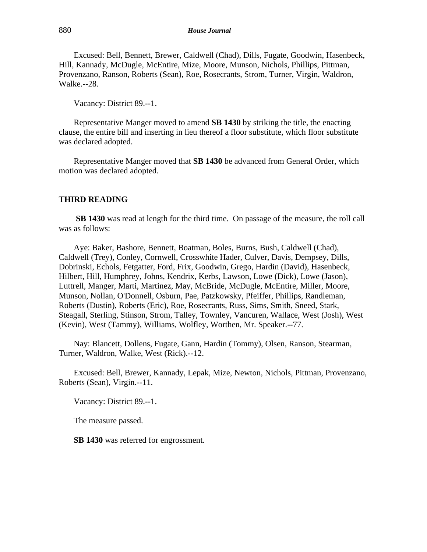Excused: Bell, Bennett, Brewer, Caldwell (Chad), Dills, Fugate, Goodwin, Hasenbeck, Hill, Kannady, McDugle, McEntire, Mize, Moore, Munson, Nichols, Phillips, Pittman, Provenzano, Ranson, Roberts (Sean), Roe, Rosecrants, Strom, Turner, Virgin, Waldron, Walke.--28.

Vacancy: District 89.--1.

Representative Manger moved to amend **SB 1430** by striking the title, the enacting clause, the entire bill and inserting in lieu thereof a floor substitute, which floor substitute was declared adopted.

Representative Manger moved that **SB 1430** be advanced from General Order, which motion was declared adopted.

# **THIRD READING**

**SB 1430** was read at length for the third time. On passage of the measure, the roll call was as follows:

Aye: Baker, Bashore, Bennett, Boatman, Boles, Burns, Bush, Caldwell (Chad), Caldwell (Trey), Conley, Cornwell, Crosswhite Hader, Culver, Davis, Dempsey, Dills, Dobrinski, Echols, Fetgatter, Ford, Frix, Goodwin, Grego, Hardin (David), Hasenbeck, Hilbert, Hill, Humphrey, Johns, Kendrix, Kerbs, Lawson, Lowe (Dick), Lowe (Jason), Luttrell, Manger, Marti, Martinez, May, McBride, McDugle, McEntire, Miller, Moore, Munson, Nollan, O'Donnell, Osburn, Pae, Patzkowsky, Pfeiffer, Phillips, Randleman, Roberts (Dustin), Roberts (Eric), Roe, Rosecrants, Russ, Sims, Smith, Sneed, Stark, Steagall, Sterling, Stinson, Strom, Talley, Townley, Vancuren, Wallace, West (Josh), West (Kevin), West (Tammy), Williams, Wolfley, Worthen, Mr. Speaker.--77.

Nay: Blancett, Dollens, Fugate, Gann, Hardin (Tommy), Olsen, Ranson, Stearman, Turner, Waldron, Walke, West (Rick).--12.

Excused: Bell, Brewer, Kannady, Lepak, Mize, Newton, Nichols, Pittman, Provenzano, Roberts (Sean), Virgin.--11.

Vacancy: District 89.--1.

The measure passed.

**SB 1430** was referred for engrossment.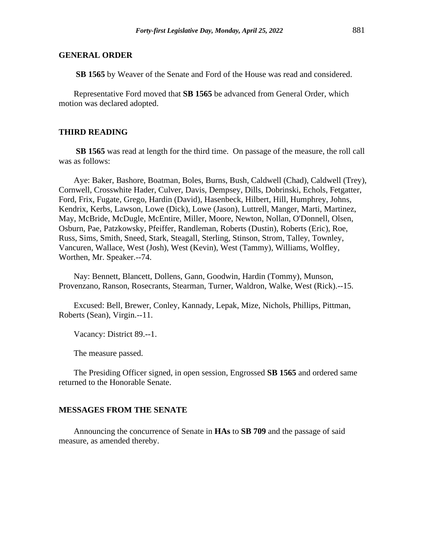# **GENERAL ORDER**

**SB 1565** by Weaver of the Senate and Ford of the House was read and considered.

Representative Ford moved that **SB 1565** be advanced from General Order, which motion was declared adopted.

# **THIRD READING**

**SB 1565** was read at length for the third time. On passage of the measure, the roll call was as follows:

Aye: Baker, Bashore, Boatman, Boles, Burns, Bush, Caldwell (Chad), Caldwell (Trey), Cornwell, Crosswhite Hader, Culver, Davis, Dempsey, Dills, Dobrinski, Echols, Fetgatter, Ford, Frix, Fugate, Grego, Hardin (David), Hasenbeck, Hilbert, Hill, Humphrey, Johns, Kendrix, Kerbs, Lawson, Lowe (Dick), Lowe (Jason), Luttrell, Manger, Marti, Martinez, May, McBride, McDugle, McEntire, Miller, Moore, Newton, Nollan, O'Donnell, Olsen, Osburn, Pae, Patzkowsky, Pfeiffer, Randleman, Roberts (Dustin), Roberts (Eric), Roe, Russ, Sims, Smith, Sneed, Stark, Steagall, Sterling, Stinson, Strom, Talley, Townley, Vancuren, Wallace, West (Josh), West (Kevin), West (Tammy), Williams, Wolfley, Worthen, Mr. Speaker.--74.

Nay: Bennett, Blancett, Dollens, Gann, Goodwin, Hardin (Tommy), Munson, Provenzano, Ranson, Rosecrants, Stearman, Turner, Waldron, Walke, West (Rick).--15.

Excused: Bell, Brewer, Conley, Kannady, Lepak, Mize, Nichols, Phillips, Pittman, Roberts (Sean), Virgin.--11.

Vacancy: District 89.--1.

The measure passed.

The Presiding Officer signed, in open session, Engrossed **SB 1565** and ordered same returned to the Honorable Senate.

#### **MESSAGES FROM THE SENATE**

Announcing the concurrence of Senate in **HAs** to **SB 709** and the passage of said measure, as amended thereby.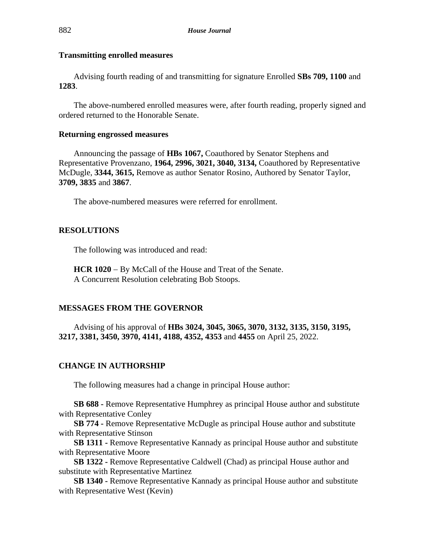# **Transmitting enrolled measures**

Advising fourth reading of and transmitting for signature Enrolled **SBs 709, 1100** and **1283**.

The above-numbered enrolled measures were, after fourth reading, properly signed and ordered returned to the Honorable Senate.

# **Returning engrossed measures**

Announcing the passage of **HBs 1067,** Coauthored by Senator Stephens and Representative Provenzano, **1964, 2996, 3021, 3040, 3134,** Coauthored by Representative McDugle, **3344, 3615,** Remove as author Senator Rosino, Authored by Senator Taylor, **3709, 3835** and **3867**.

The above-numbered measures were referred for enrollment.

# **RESOLUTIONS**

The following was introduced and read:

**HCR 1020** − By McCall of the House and Treat of the Senate. A Concurrent Resolution celebrating Bob Stoops.

# **MESSAGES FROM THE GOVERNOR**

Advising of his approval of **HBs 3024, 3045, 3065, 3070, 3132, 3135, 3150, 3195, 3217, 3381, 3450, 3970, 4141, 4188, 4352, 4353** and **4455** on April 25, 2022.

# **CHANGE IN AUTHORSHIP**

The following measures had a change in principal House author:

**SB 688 -** Remove Representative Humphrey as principal House author and substitute with Representative Conley

**SB 774 -** Remove Representative McDugle as principal House author and substitute with Representative Stinson

**SB 1311 -** Remove Representative Kannady as principal House author and substitute with Representative Moore

**SB 1322 -** Remove Representative Caldwell (Chad) as principal House author and substitute with Representative Martinez

**SB 1340 -** Remove Representative Kannady as principal House author and substitute with Representative West (Kevin)